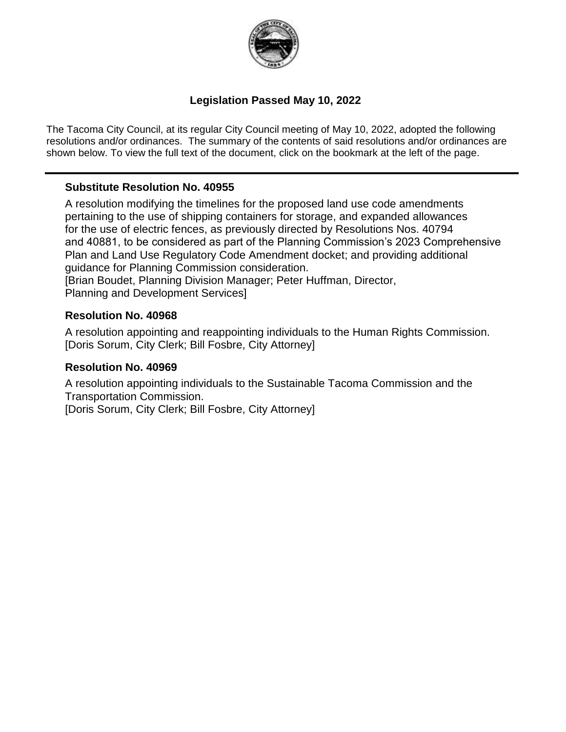

#### **Legislation Passed May 10, 2022**

The Tacoma City Council, at its regular City Council meeting of May 10, 2022, adopted the following resolutions and/or ordinances. The summary of the contents of said resolutions and/or ordinances are shown below. To view the full text of the document, click on the bookmark at the left of the page.

#### **Substitute Resolution No. 40955**

A resolution modifying the timelines for the proposed land use code amendments pertaining to the use of shipping containers for storage, and expanded allowances for the use of electric fences, as previously directed by Resolutions Nos. 40794 and 40881, to be considered as part of the Planning Commission's 2023 Comprehensive Plan and Land Use Regulatory Code Amendment docket; and providing additional guidance for Planning Commission consideration. [Brian Boudet, Planning Division Manager; Peter Huffman, Director,

Planning and Development Services]

#### **Resolution No. 40968**

A resolution appointing and reappointing individuals to the Human Rights Commission. [Doris Sorum, City Clerk; Bill Fosbre, City Attorney]

#### **Resolution No. 40969**

A resolution appointing individuals to the Sustainable Tacoma Commission and the Transportation Commission.

[Doris Sorum, City Clerk; Bill Fosbre, City Attorney]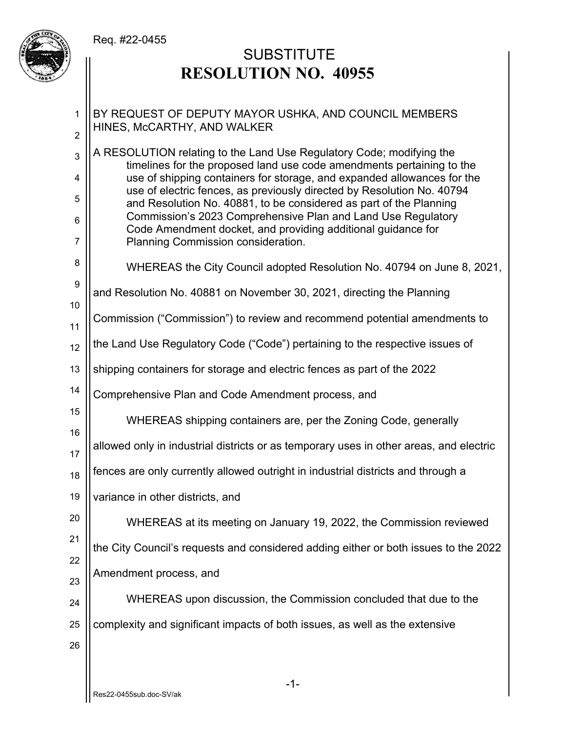#### Req. #22-0455



# **SUBSTITUTE RESOLUTION NO. 40955**

1 2 3 4 5 6 7 8 9 10 11 12 13 14 15 16 17 18 19 20 21 22 23 24 25 26 BY REQUEST OF DEPUTY MAYOR USHKA, AND COUNCIL MEMBERS HINES, McCARTHY, AND WALKER A RESOLUTION relating to the Land Use Regulatory Code; modifying the timelines for the proposed land use code amendments pertaining to the use of shipping containers for storage, and expanded allowances for the use of electric fences, as previously directed by Resolution No. 40794 and Resolution No. 40881, to be considered as part of the Planning Commission's 2023 Comprehensive Plan and Land Use Regulatory Code Amendment docket, and providing additional guidance for Planning Commission consideration. WHEREAS the City Council adopted Resolution No. 40794 on June 8, 2021, and Resolution No. 40881 on November 30, 2021, directing the Planning Commission ("Commission") to review and recommend potential amendments to the Land Use Regulatory Code ("Code") pertaining to the respective issues of shipping containers for storage and electric fences as part of the 2022 Comprehensive Plan and Code Amendment process, and WHEREAS shipping containers are, per the Zoning Code, generally allowed only in industrial districts or as temporary uses in other areas, and electric fences are only currently allowed outright in industrial districts and through a variance in other districts, and WHEREAS at its meeting on January 19, 2022, the Commission reviewed the City Council's requests and considered adding either or both issues to the 2022 Amendment process, and WHEREAS upon discussion, the Commission concluded that due to the complexity and significant impacts of both issues, as well as the extensive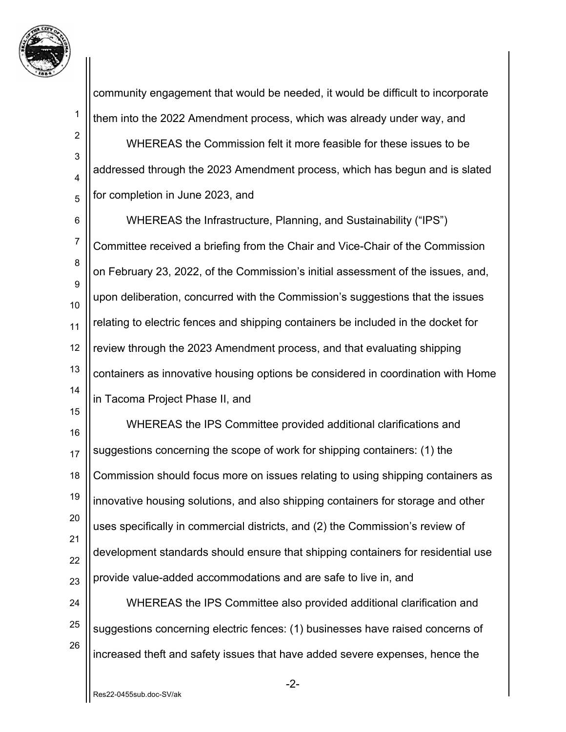

1

2

3

4

5

15

community engagement that would be needed, it would be difficult to incorporate them into the 2022 Amendment process, which was already under way, and

 WHEREAS the Commission felt it more feasible for these issues to be addressed through the 2023 Amendment process, which has begun and is slated for completion in June 2023, and

6 7 8 9 10 11 12 13 14 WHEREAS the Infrastructure, Planning, and Sustainability ("IPS") Committee received a briefing from the Chair and Vice-Chair of the Commission on February 23, 2022, of the Commission's initial assessment of the issues, and, upon deliberation, concurred with the Commission's suggestions that the issues relating to electric fences and shipping containers be included in the docket for review through the 2023 Amendment process, and that evaluating shipping containers as innovative housing options be considered in coordination with Home in Tacoma Project Phase II, and

16 17 18 19 20 21 22 23 WHEREAS the IPS Committee provided additional clarifications and suggestions concerning the scope of work for shipping containers: (1) the Commission should focus more on issues relating to using shipping containers as innovative housing solutions, and also shipping containers for storage and other uses specifically in commercial districts, and (2) the Commission's review of development standards should ensure that shipping containers for residential use provide value-added accommodations and are safe to live in, and

24 25 26 WHEREAS the IPS Committee also provided additional clarification and suggestions concerning electric fences: (1) businesses have raised concerns of increased theft and safety issues that have added severe expenses, hence the

-2-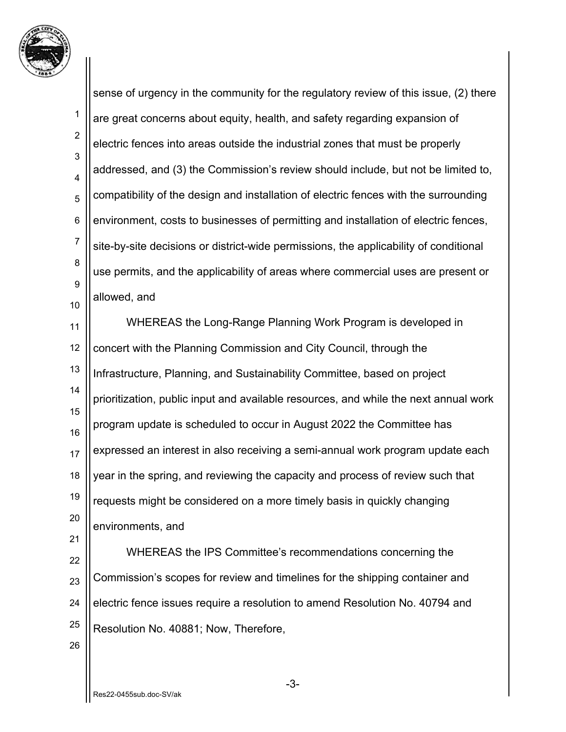

1 2 3 4 5 6 7 8 9 10 sense of urgency in the community for the regulatory review of this issue, (2) there are great concerns about equity, health, and safety regarding expansion of electric fences into areas outside the industrial zones that must be properly addressed, and (3) the Commission's review should include, but not be limited to, compatibility of the design and installation of electric fences with the surrounding environment, costs to businesses of permitting and installation of electric fences, site-by-site decisions or district-wide permissions, the applicability of conditional use permits, and the applicability of areas where commercial uses are present or allowed, and

11 12 13 14 15 16 17 18 19 20 21 WHEREAS the Long-Range Planning Work Program is developed in concert with the Planning Commission and City Council, through the Infrastructure, Planning, and Sustainability Committee, based on project prioritization, public input and available resources, and while the next annual work program update is scheduled to occur in August 2022 the Committee has expressed an interest in also receiving a semi-annual work program update each year in the spring, and reviewing the capacity and process of review such that requests might be considered on a more timely basis in quickly changing environments, and

22 23 24 25 WHEREAS the IPS Committee's recommendations concerning the Commission's scopes for review and timelines for the shipping container and electric fence issues require a resolution to amend Resolution No. 40794 and Resolution No. 40881; Now, Therefore,

26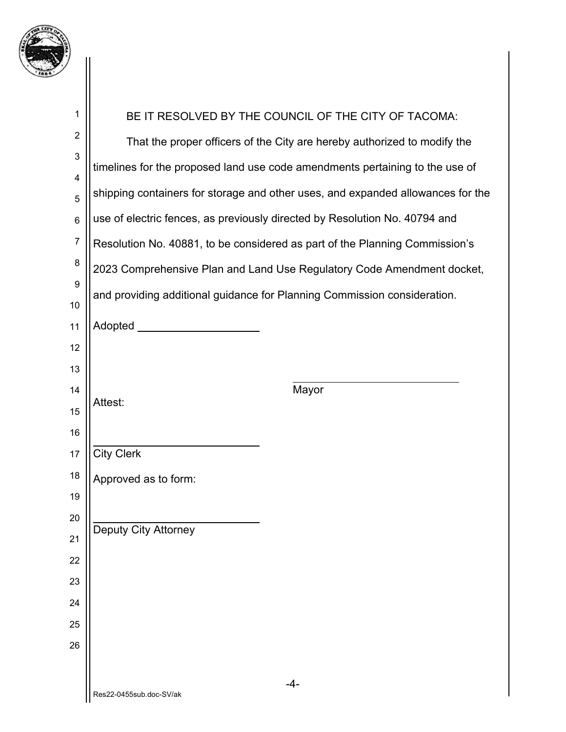

| 1                            | BE IT RESOLVED BY THE COUNCIL OF THE CITY OF TACOMA:                            |
|------------------------------|---------------------------------------------------------------------------------|
| $\overline{2}$               | That the proper officers of the City are hereby authorized to modify the        |
| $\mathbf{3}$                 | timelines for the proposed land use code amendments pertaining to the use of    |
| $\overline{\mathbf{4}}$<br>5 | shipping containers for storage and other uses, and expanded allowances for the |
| $6\phantom{1}6$              | use of electric fences, as previously directed by Resolution No. 40794 and      |
| $\overline{7}$               | Resolution No. 40881, to be considered as part of the Planning Commission's     |
| 8                            |                                                                                 |
| 9                            | 2023 Comprehensive Plan and Land Use Regulatory Code Amendment docket,          |
| 10                           | and providing additional guidance for Planning Commission consideration.        |
| 11                           | Adopted _______                                                                 |
| 12                           |                                                                                 |
| 13                           |                                                                                 |
| 14                           | Mayor<br>Attest:                                                                |
| 15                           |                                                                                 |
| 16                           |                                                                                 |
| 17                           | <b>City Clerk</b>                                                               |
| 18                           | Approved as to form:                                                            |
| 19<br>20                     |                                                                                 |
| 21                           | <b>Deputy City Attorney</b>                                                     |
| 22                           |                                                                                 |
| 23                           |                                                                                 |
| 24                           |                                                                                 |
| 25                           |                                                                                 |
| 26                           |                                                                                 |
|                              |                                                                                 |
|                              | $-4-$                                                                           |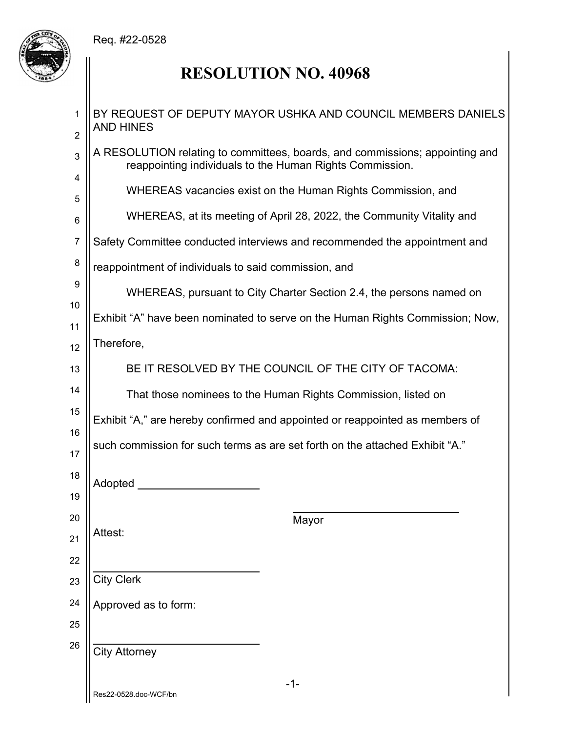## Req. #22-0528



# **RESOLUTION NO. 40968**

| 1<br>$\overline{2}$ | BY REQUEST OF DEPUTY MAYOR USHKA AND COUNCIL MEMBERS DANIELS<br><b>AND HINES</b>                                                         |
|---------------------|------------------------------------------------------------------------------------------------------------------------------------------|
| 3                   | A RESOLUTION relating to committees, boards, and commissions; appointing and<br>reappointing individuals to the Human Rights Commission. |
| 4<br>5              | WHEREAS vacancies exist on the Human Rights Commission, and                                                                              |
| 6                   | WHEREAS, at its meeting of April 28, 2022, the Community Vitality and                                                                    |
| $\overline{7}$      | Safety Committee conducted interviews and recommended the appointment and                                                                |
| 8                   | reappointment of individuals to said commission, and                                                                                     |
| 9                   | WHEREAS, pursuant to City Charter Section 2.4, the persons named on                                                                      |
| 10<br>11            | Exhibit "A" have been nominated to serve on the Human Rights Commission; Now,                                                            |
| 12                  | Therefore,                                                                                                                               |
| 13                  | BE IT RESOLVED BY THE COUNCIL OF THE CITY OF TACOMA:                                                                                     |
| 14                  | That those nominees to the Human Rights Commission, listed on                                                                            |
| 15                  | Exhibit "A," are hereby confirmed and appointed or reappointed as members of                                                             |
| 16<br>17            | such commission for such terms as are set forth on the attached Exhibit "A."                                                             |
| 18<br>19            | Adopted <b>Exercise Service Service Service</b> Service Service Service Service Service Service Service Service Service                  |
| 20                  | Mayor                                                                                                                                    |
| Attest:<br>21       |                                                                                                                                          |
| 22                  |                                                                                                                                          |
| 23<br>24            | <b>City Clerk</b>                                                                                                                        |
| 25                  | Approved as to form:                                                                                                                     |
| 26                  | <b>City Attorney</b>                                                                                                                     |
|                     | $-1-$<br>Res22-0528.doc-WCF/bn                                                                                                           |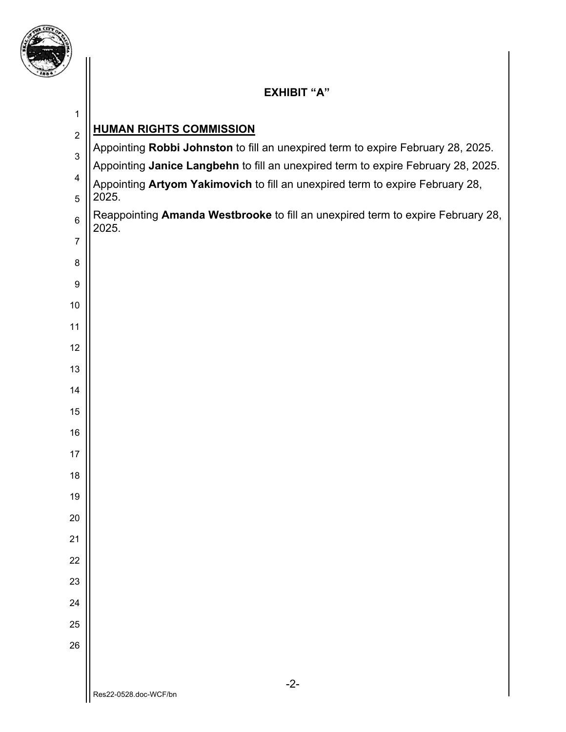

### **EXHIBIT "A"**

## -2- **HUMAN RIGHTS COMMISSION**  Appointing **Robbi Johnston** to fill an unexpired term to expire February 28, 2025. Appointing **Janice Langbehn** to fill an unexpired term to expire February 28, 2025. Appointing **Artyom Yakimovich** to fill an unexpired term to expire February 28, 2025. Reappointing **Amanda Westbrooke** to fill an unexpired term to expire February 28, 2025.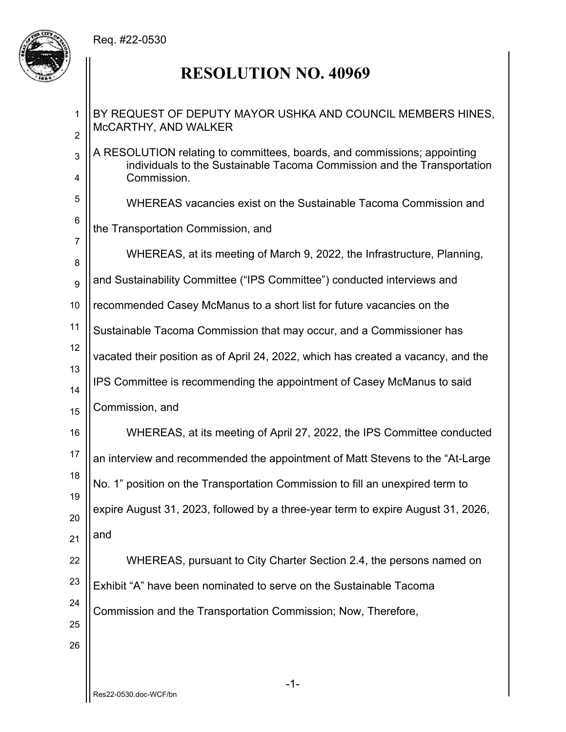### Req. #22-0530



# **RESOLUTION NO. 40969**

| $\mathbf{1}$<br>$\overline{2}$ | BY REQUEST OF DEPUTY MAYOR USHKA AND COUNCIL MEMBERS HINES,<br>McCARTHY, AND WALKER                                                                 |
|--------------------------------|-----------------------------------------------------------------------------------------------------------------------------------------------------|
| 3                              | A RESOLUTION relating to committees, boards, and commissions; appointing<br>individuals to the Sustainable Tacoma Commission and the Transportation |
| Commission.<br>4               |                                                                                                                                                     |
| 5                              | WHEREAS vacancies exist on the Sustainable Tacoma Commission and                                                                                    |
| 6                              | the Transportation Commission, and                                                                                                                  |
| $\overline{7}$<br>8            | WHEREAS, at its meeting of March 9, 2022, the Infrastructure, Planning,                                                                             |
| $9\,$                          | and Sustainability Committee ("IPS Committee") conducted interviews and                                                                             |
| 10                             | recommended Casey McManus to a short list for future vacancies on the                                                                               |
| 11                             | Sustainable Tacoma Commission that may occur, and a Commissioner has                                                                                |
| 12                             | vacated their position as of April 24, 2022, which has created a vacancy, and the                                                                   |
| 13<br>14                       | IPS Committee is recommending the appointment of Casey McManus to said                                                                              |
| 15                             | Commission, and                                                                                                                                     |
| 16                             | WHEREAS, at its meeting of April 27, 2022, the IPS Committee conducted                                                                              |
| 17                             | an interview and recommended the appointment of Matt Stevens to the "At-Large"                                                                      |
| 18                             | No. 1" position on the Transportation Commission to fill an unexpired term to                                                                       |
| 19<br>20                       | expire August 31, 2023, followed by a three-year term to expire August 31, 2026,                                                                    |
| 21                             | and                                                                                                                                                 |
| 22                             | WHEREAS, pursuant to City Charter Section 2.4, the persons named on                                                                                 |
| 23                             | Exhibit "A" have been nominated to serve on the Sustainable Tacoma                                                                                  |
| 24                             | Commission and the Transportation Commission; Now, Therefore,                                                                                       |
| 25                             |                                                                                                                                                     |
| 26                             |                                                                                                                                                     |
|                                |                                                                                                                                                     |
|                                | $-1-$                                                                                                                                               |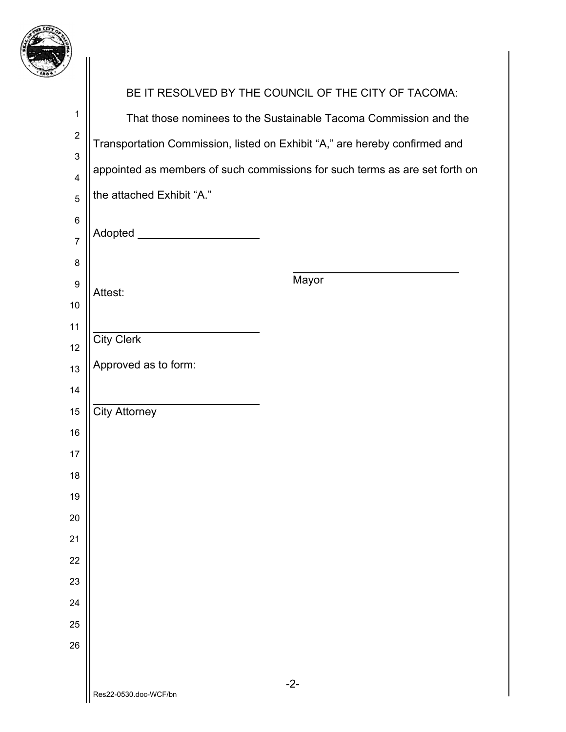

| $\gamma$                               |                                                                             |
|----------------------------------------|-----------------------------------------------------------------------------|
|                                        | BE IT RESOLVED BY THE COUNCIL OF THE CITY OF TACOMA:                        |
| $\mathbf 1$                            | That those nominees to the Sustainable Tacoma Commission and the            |
| $\boldsymbol{2}$                       | Transportation Commission, listed on Exhibit "A," are hereby confirmed and  |
| $\mathsf 3$<br>$\overline{\mathbf{4}}$ | appointed as members of such commissions for such terms as are set forth on |
| 5                                      | the attached Exhibit "A."                                                   |
| $\,6$                                  |                                                                             |
| $\overline{7}$                         | Adopted ________                                                            |
| 8                                      |                                                                             |
| $\boldsymbol{9}$                       | Mayor<br>Attest:                                                            |
| 10                                     |                                                                             |
| 11<br>12                               | <b>City Clerk</b>                                                           |
| 13                                     | Approved as to form:                                                        |
| 14                                     |                                                                             |
| 15                                     | <b>City Attorney</b>                                                        |
| 16                                     |                                                                             |
| 17                                     |                                                                             |
| 18                                     |                                                                             |
| 19<br>20                               |                                                                             |
| 21                                     |                                                                             |
| 22                                     |                                                                             |
| 23                                     |                                                                             |
| 24                                     |                                                                             |
| 25                                     |                                                                             |
| 26                                     |                                                                             |
|                                        | $-2-$                                                                       |
|                                        | Res22-0530.doc-WCF/bn                                                       |